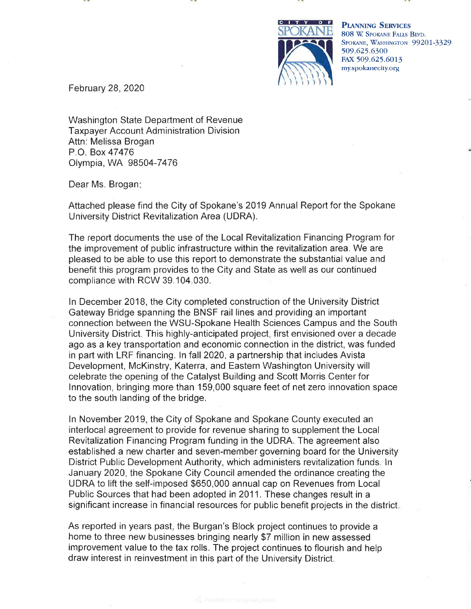

**PLANNING SERVICES** 808 W. SPOKANE FALLS BIVD. SPOKANE, WASHINGTON 99201-3329 509.625.6300 FAX 509.625.6013 my.spokanecity.org

February 28, 2020

Washington State Department of Revenue **Taxpayer Account Administration Division** Attn: Melissa Brogan P.O. Box 47476 Olympia, WA 98504-7476

Dear Ms. Brogan:

Attached please find the City of Spokane's 2019 Annual Report for the Spokane University District Revitalization Area (UDRA).

The report documents the use of the Local Revitalization Financing Program for the improvement of public infrastructure within the revitalization area. We are pleased to be able to use this report to demonstrate the substantial value and benefit this program provides to the City and State as well as our continued compliance with RCW 39.104.030.

In December 2018, the City completed construction of the University District Gateway Bridge spanning the BNSF rail lines and providing an important connection between the WSU-Spokane Health Sciences Campus and the South University District. This highly-anticipated project, first envisioned over a decade ago as a key transportation and economic connection in the district, was funded in part with LRF financing. In fall 2020, a partnership that includes Avista Development, McKinstry, Katerra, and Eastern Washington University will celebrate the opening of the Catalyst Building and Scott Morris Center for Innovation, bringing more than 159,000 square feet of net zero innovation space to the south landing of the bridge.

In November 2019, the City of Spokane and Spokane County executed an interlocal agreement to provide for revenue sharing to supplement the Local Revitalization Financing Program funding in the UDRA. The agreement also established a new charter and seven-member governing board for the University District Public Development Authority, which administers revitalization funds. In January 2020, the Spokane City Council amended the ordinance creating the UDRA to lift the self-imposed \$650,000 annual cap on Revenues from Local Public Sources that had been adopted in 2011. These changes result in a significant increase in financial resources for public benefit projects in the district.

As reported in years past, the Burgan's Block project continues to provide a home to three new businesses bringing nearly \$7 million in new assessed improvement value to the tax rolls. The project continues to flourish and help draw interest in reinvestment in this part of the University District.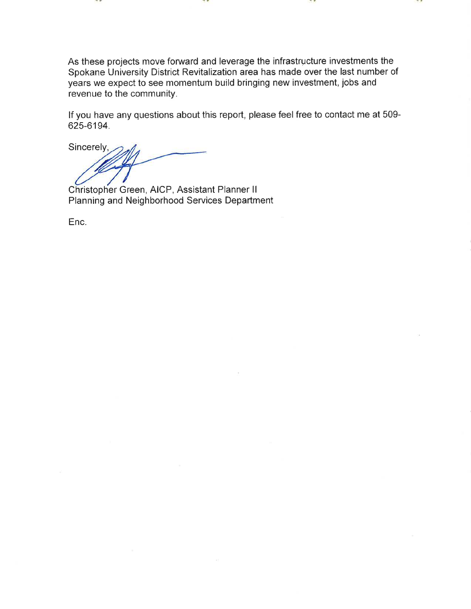As these projects move forward and leverage the infrastructure investments the Spokane University District Revitalization area has made over the last number of years we expect to see momentum build bringing new investment, jobs and revenue to the community.

If you have any questions about this report, please feel free to contact me at 509-625-6194.

Sincerely,

Christopher Green, AICP, Assistant Planner II Planning and Neighborhood Services Department

Enc.

- -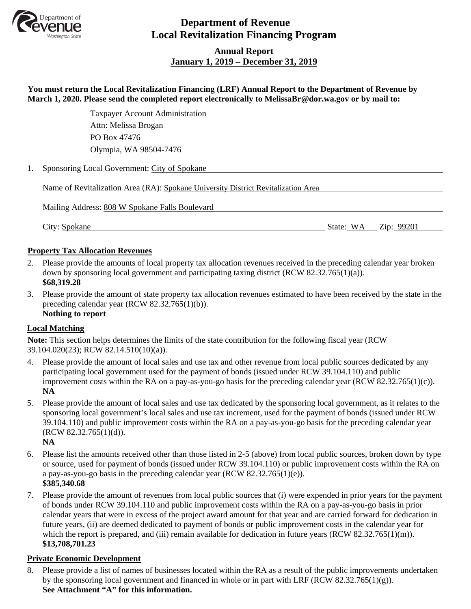

# **Department of Revenue Local Revitalization Financing Program**

# **Annual Report January 1, 2019 – December 31, 2019**

| You must return the Local Revitalization Financing (LRF) Annual Report to the Department of Revenue by<br>March 1, 2020. Please send the completed report electronically to MelissaBr@dor.wa.gov or by mail to: |                                                                                   |  |  |  |
|-----------------------------------------------------------------------------------------------------------------------------------------------------------------------------------------------------------------|-----------------------------------------------------------------------------------|--|--|--|
|                                                                                                                                                                                                                 | <b>Taxpayer Account Administration</b>                                            |  |  |  |
|                                                                                                                                                                                                                 | Attn: Melissa Brogan                                                              |  |  |  |
|                                                                                                                                                                                                                 | PO Box 47476                                                                      |  |  |  |
|                                                                                                                                                                                                                 | Olympia, WA 98504-7476                                                            |  |  |  |
| 1.                                                                                                                                                                                                              | Sponsoring Local Government: City of Spokane                                      |  |  |  |
|                                                                                                                                                                                                                 | Name of Revitalization Area (RA): Spokane University District Revitalization Area |  |  |  |
|                                                                                                                                                                                                                 | Mailing Address: 808 W Spokane Falls Boulevard                                    |  |  |  |
|                                                                                                                                                                                                                 | State: WA<br>City: Spokane<br>Zip: 99201                                          |  |  |  |

#### **Property Tax Allocation Revenues**

- 2. Please provide the amounts of local property tax allocation revenues received in the preceding calendar year broken down by sponsoring local government and participating taxing district (RCW 82.32.765(1)(a)). **\$68,319.28**
- 3. Please provide the amount of state property tax allocation revenues estimated to have been received by the state in the preceding calendar year (RCW 82.32.765(1)(b)). **Nothing to report**

#### **Local Matching**

**Note:** This section helps determines the limits of the state contribution for the following fiscal year (RCW 39.104.020(23); RCW 82.14.510(10)(a)).

- 4. Please provide the amount of local sales and use tax and other revenue from local public sources dedicated by any participating local government used for the payment of bonds (issued under RCW 39.104.110) and public improvement costs within the RA on a pay-as-you-go basis for the preceding calendar year (RCW 82.32.765(1)(c)). **NA**
- 5. Please provide the amount of local sales and use tax dedicated by the sponsoring local government, as it relates to the sponsoring local government's local sales and use tax increment, used for the payment of bonds (issued under RCW 39.104.110) and public improvement costs within the RA on a pay-as-you-go basis for the preceding calendar year  $(RCW 82.32.765(1)(d)).$ **NA**
- 6. Please list the amounts received other than those listed in 2-5 (above) from local public sources, broken down by type or source, used for payment of bonds (issued under RCW 39.104.110) or public improvement costs within the RA on a pay-as-you-go basis in the preceding calendar year (RCW 82.32.765(1)(e)). **\$385,340.68**
- 7. Please provide the amount of revenues from local public sources that (i) were expended in prior years for the payment of bonds under RCW 39.104.110 and public improvement costs within the RA on a pay-as-you-go basis in prior calendar years that were in excess of the project award amount for that year and are carried forward for dedication in future years, (ii) are deemed dedicated to payment of bonds or public improvement costs in the calendar year for which the report is prepared, and (iii) remain available for dedication in future years (RCW 82.32.765(1)(m)). **\$13,708,701.23**

### **Private Economic Development**

8. Please provide a list of names of businesses located within the RA as a result of the public improvements undertaken by the sponsoring local government and financed in whole or in part with LRF (RCW 82.32.765(1)(g)). **See Attachment "A" for this information.**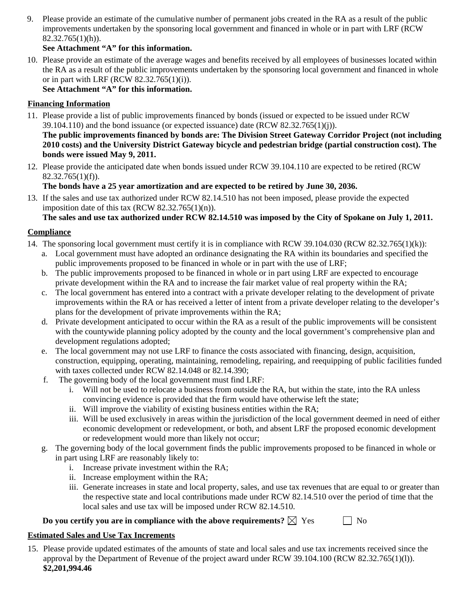9. Please provide an estimate of the cumulative number of permanent jobs created in the RA as a result of the public improvements undertaken by the sponsoring local government and financed in whole or in part with LRF (RCW  $82.32.765(1)(h)$ ).

# **See Attachment "A" for this information.**

10. Please provide an estimate of the average wages and benefits received by all employees of businesses located within the RA as a result of the public improvements undertaken by the sponsoring local government and financed in whole or in part with LRF (RCW 82.32.765(1)(i)).

**See Attachment "A" for this information.**

#### **Financing Information**

11. Please provide a list of public improvements financed by bonds (issued or expected to be issued under RCW  $39.104.110$ ) and the bond issuance (or expected issuance) date (RCW 82.32.765(1)(j)).

**The public improvements financed by bonds are: The Division Street Gateway Corridor Project (not including 2010 costs) and the University District Gateway bicycle and pedestrian bridge (partial construction cost). The bonds were issued May 9, 2011.**

12. Please provide the anticipated date when bonds issued under RCW 39.104.110 are expected to be retired (RCW  $82.32.765(1)(f)$ .

# **The bonds have a 25 year amortization and are expected to be retired by June 30, 2036.**

13. If the sales and use tax authorized under RCW 82.14.510 has not been imposed, please provide the expected imposition date of this tax  $(RCW 82.32.765(1)(n))$ .

**The sales and use tax authorized under RCW 82.14.510 was imposed by the City of Spokane on July 1, 2011.**

#### **Compliance**

- 14. The sponsoring local government must certify it is in compliance with RCW 39.104.030 (RCW 82.32.765(1)(k)):
	- a. Local government must have adopted an ordinance designating the RA within its boundaries and specified the public improvements proposed to be financed in whole or in part with the use of LRF;
	- b. The public improvements proposed to be financed in whole or in part using LRF are expected to encourage private development within the RA and to increase the fair market value of real property within the RA;
	- c. The local government has entered into a contract with a private developer relating to the development of private improvements within the RA or has received a letter of intent from a private developer relating to the developer's plans for the development of private improvements within the RA;
	- d. Private development anticipated to occur within the RA as a result of the public improvements will be consistent with the countywide planning policy adopted by the county and the local government's comprehensive plan and development regulations adopted;
	- e. The local government may not use LRF to finance the costs associated with financing, design, acquisition, construction, equipping, operating, maintaining, remodeling, repairing, and reequipping of public facilities funded with taxes collected under RCW 82.14.048 or 82.14.390;
	- f. The governing body of the local government must find LRF:
		- i. Will not be used to relocate a business from outside the RA, but within the state, into the RA unless convincing evidence is provided that the firm would have otherwise left the state;
		- ii. Will improve the viability of existing business entities within the RA;
		- iii. Will be used exclusively in areas within the jurisdiction of the local government deemed in need of either economic development or redevelopment, or both, and absent LRF the proposed economic development or redevelopment would more than likely not occur;
	- The governing body of the local government finds the public improvements proposed to be financed in whole or in part using LRF are reasonably likely to:
		- i. Increase private investment within the RA;
		- ii. Increase employment within the RA;
		- iii. Generate increases in state and local property, sales, and use tax revenues that are equal to or greater than the respective state and local contributions made under RCW 82.14.510 over the period of time that the local sales and use tax will be imposed under RCW 82.14.510.

#### **Do you certify you are in compliance with the above requirements?**  $\boxtimes$  Yes  $\Box$  No

#### **Estimated Sales and Use Tax Increments**

15. Please provide updated estimates of the amounts of state and local sales and use tax increments received since the approval by the Department of Revenue of the project award under RCW 39.104.100 (RCW 82.32.765(1)(l)). **\$2,201,994.46**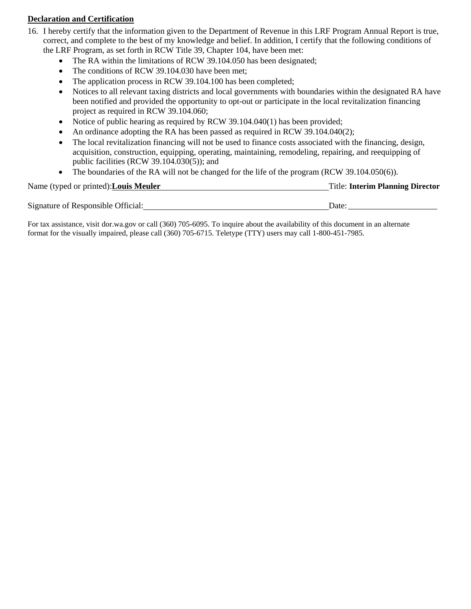#### **Declaration and Certification**

- 16. I hereby certify that the information given to the Department of Revenue in this LRF Program Annual Report is true, correct, and complete to the best of my knowledge and belief. In addition, I certify that the following conditions of the LRF Program, as set forth in RCW Title 39, Chapter 104, have been met:
	- The RA within the limitations of RCW 39.104.050 has been designated;
	- The conditions of RCW 39.104.030 have been met;
	- The application process in RCW 39.104.100 has been completed;
	- Notices to all relevant taxing districts and local governments with boundaries within the designated RA have been notified and provided the opportunity to opt-out or participate in the local revitalization financing project as required in RCW 39.104.060;
	- Notice of public hearing as required by RCW 39.104.040(1) has been provided;
	- An ordinance adopting the RA has been passed as required in RCW 39.104.040(2);
	- The local revitalization financing will not be used to finance costs associated with the financing, design, acquisition, construction, equipping, operating, maintaining, remodeling, repairing, and reequipping of public facilities (RCW 39.104.030(5)); and
	- The boundaries of the RA will not be changed for the life of the program (RCW 39.104.050(6)).

| Name (typed or printed): Louis Meuler | <b>Title: Interim Planning Director</b> |
|---------------------------------------|-----------------------------------------|
| Signature of Responsible Official:    | Date:                                   |

For tax assistance, visit dor.wa.gov or call (360) 705-6095. To inquire about the availability of this document in an alternate format for the visually impaired, please call (360) 705-6715. Teletype (TTY) users may call 1-800-451-7985.